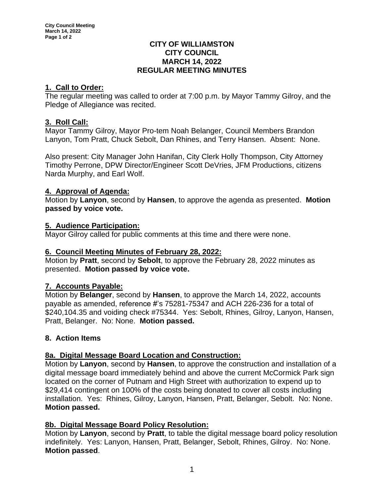#### **CITY OF WILLIAMSTON CITY COUNCIL MARCH 14, 2022 REGULAR MEETING MINUTES**

# **1. Call to Order:**

The regular meeting was called to order at 7:00 p.m. by Mayor Tammy Gilroy, and the Pledge of Allegiance was recited.

## **3. Roll Call:**

Mayor Tammy Gilroy, Mayor Pro-tem Noah Belanger, Council Members Brandon Lanyon, Tom Pratt, Chuck Sebolt, Dan Rhines, and Terry Hansen. Absent: None.

Also present: City Manager John Hanifan, City Clerk Holly Thompson, City Attorney Timothy Perrone, DPW Director/Engineer Scott DeVries, JFM Productions, citizens Narda Murphy, and Earl Wolf.

## **4. Approval of Agenda:**

Motion by **Lanyon**, second by **Hansen**, to approve the agenda as presented. **Motion passed by voice vote.**

## **5. Audience Participation:**

Mayor Gilroy called for public comments at this time and there were none.

### **6. Council Meeting Minutes of February 28, 2022:**

Motion by **Pratt**, second by **Sebolt**, to approve the February 28, 2022 minutes as presented. **Motion passed by voice vote.**

# **7. Accounts Payable:**

Motion by **Belanger**, second by **Hansen**, to approve the March 14, 2022, accounts payable as amended, reference #'s 75281-75347 and ACH 226-236 for a total of \$240,104.35 and voiding check #75344. Yes: Sebolt, Rhines, Gilroy, Lanyon, Hansen, Pratt, Belanger. No: None. **Motion passed.**

### **8. Action Items**

### **8a. Digital Message Board Location and Construction:**

Motion by **Lanyon**, second by **Hansen**, to approve the construction and installation of a digital message board immediately behind and above the current McCormick Park sign located on the corner of Putnam and High Street with authorization to expend up to \$29,414 contingent on 100% of the costs being donated to cover all costs including installation. Yes: Rhines, Gilroy, Lanyon, Hansen, Pratt, Belanger, Sebolt. No: None. **Motion passed.**

# **8b. Digital Message Board Policy Resolution:**

Motion by **Lanyon**, second by **Pratt**, to table the digital message board policy resolution indefinitely. Yes: Lanyon, Hansen, Pratt, Belanger, Sebolt, Rhines, Gilroy. No: None. **Motion passed**.